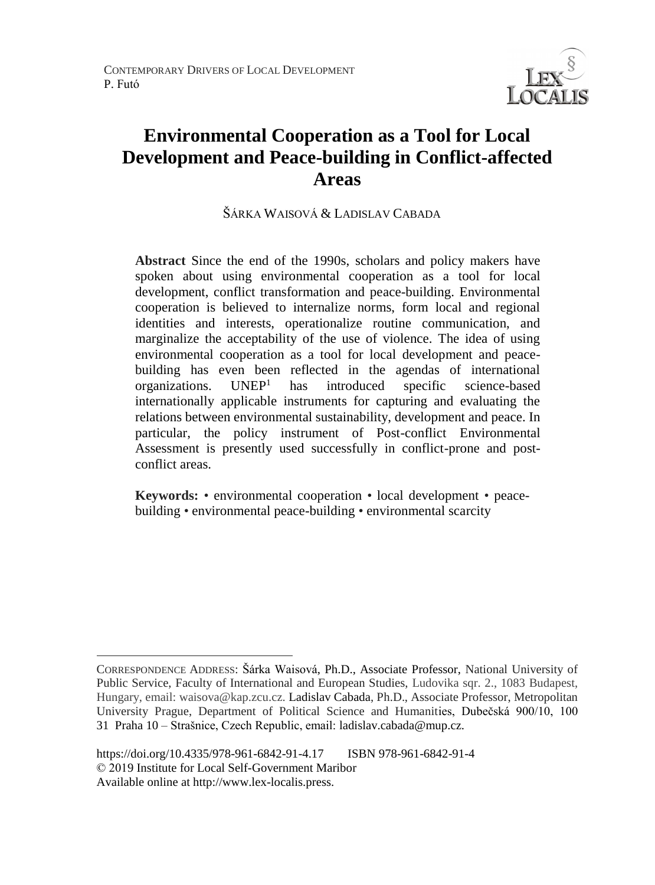

# **Environmental Cooperation as a Tool for Local Development and Peace-building in Conflict-affected Areas**

ŠÁRKA WAISOVÁ & LADISLAV CABADA

**Abstract** Since the end of the 1990s, scholars and policy makers have spoken about using environmental cooperation as a tool for local development, conflict transformation and peace-building. Environmental cooperation is believed to internalize norms, form local and regional identities and interests, operationalize routine communication, and marginalize the acceptability of the use of violence. The idea of using environmental cooperation as a tool for local development and peacebuilding has even been reflected in the agendas of international organizations.  $UNEP<sup>1</sup>$  has introduced specific science-based internationally applicable instruments for capturing and evaluating the relations between environmental sustainability, development and peace. In particular, the policy instrument of Post-conflict Environmental Assessment is presently used successfully in conflict-prone and postconflict areas.

**Keywords:** • environmental cooperation • local development • peacebuilding • environmental peace-building • environmental scarcity

 $\overline{a}$ CORRESPONDENCE ADDRESS: Šárka Waisová, Ph.D., Associate Professor, National University of Public Service, Faculty of International and European Studies, Ludovika sqr. 2., 1083 Budapest, Hungary, email: waisova@kap.zcu.cz. Ladislav Cabada, Ph.D., Associate Professor, Metropolitan University Prague, Department of Political Science and Humanities, Dubečská 900/10, 100 31 Praha 10 – Strašnice, Czech Republic, email: ladislav.cabada@mup.cz.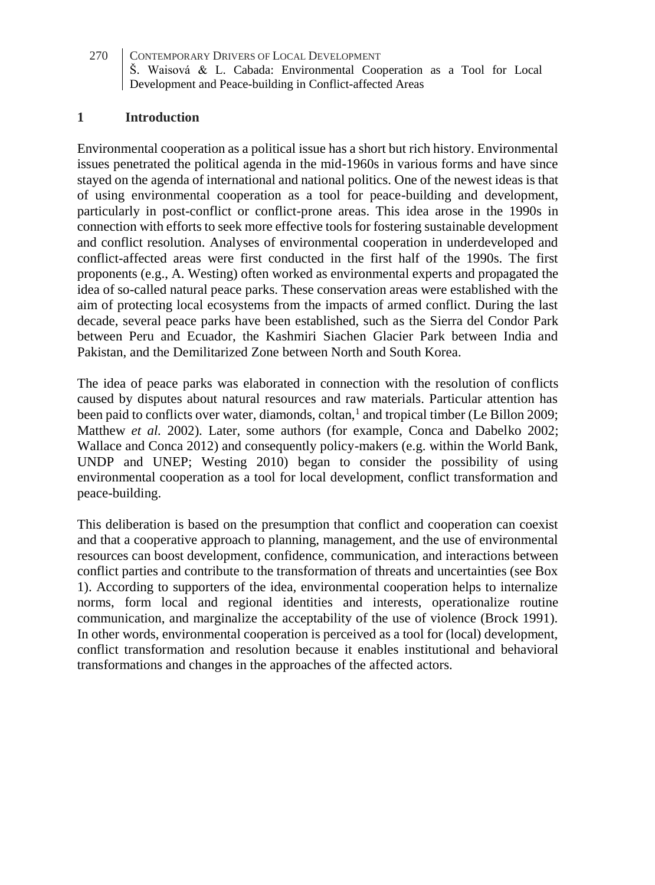### **1 Introduction**

Environmental cooperation as a political issue has a short but rich history. Environmental issues penetrated the political agenda in the mid-1960s in various forms and have since stayed on the agenda of international and national politics. One of the newest ideas is that of using environmental cooperation as a tool for peace-building and development, particularly in post-conflict or conflict-prone areas. This idea arose in the 1990s in connection with efforts to seek more effective tools for fostering sustainable development and conflict resolution. Analyses of environmental cooperation in underdeveloped and conflict-affected areas were first conducted in the first half of the 1990s. The first proponents (e.g., A. Westing) often worked as environmental experts and propagated the idea of so-called natural peace parks. These conservation areas were established with the aim of protecting local ecosystems from the impacts of armed conflict. During the last decade, several peace parks have been established, such as the Sierra del Condor Park between Peru and Ecuador, the Kashmiri Siachen Glacier Park between India and Pakistan, and the Demilitarized Zone between North and South Korea.

The idea of peace parks was elaborated in connection with the resolution of conflicts caused by disputes about natural resources and raw materials. Particular attention has been paid to conflicts over water, diamonds, coltan,<sup>1</sup> and tropical timber (Le Billon 2009; Matthew *et al.* 2002). Later, some authors (for example, Conca and Dabelko 2002; Wallace and Conca 2012) and consequently policy-makers (e.g. within the World Bank, UNDP and UNEP; Westing 2010) began to consider the possibility of using environmental cooperation as a tool for local development, conflict transformation and peace-building.

This deliberation is based on the presumption that conflict and cooperation can coexist and that a cooperative approach to planning, management, and the use of environmental resources can boost development, confidence, communication, and interactions between conflict parties and contribute to the transformation of threats and uncertainties (see Box 1). According to supporters of the idea, environmental cooperation helps to internalize norms, form local and regional identities and interests, operationalize routine communication, and marginalize the acceptability of the use of violence (Brock 1991). In other words, environmental cooperation is perceived as a tool for (local) development, conflict transformation and resolution because it enables institutional and behavioral transformations and changes in the approaches of the affected actors.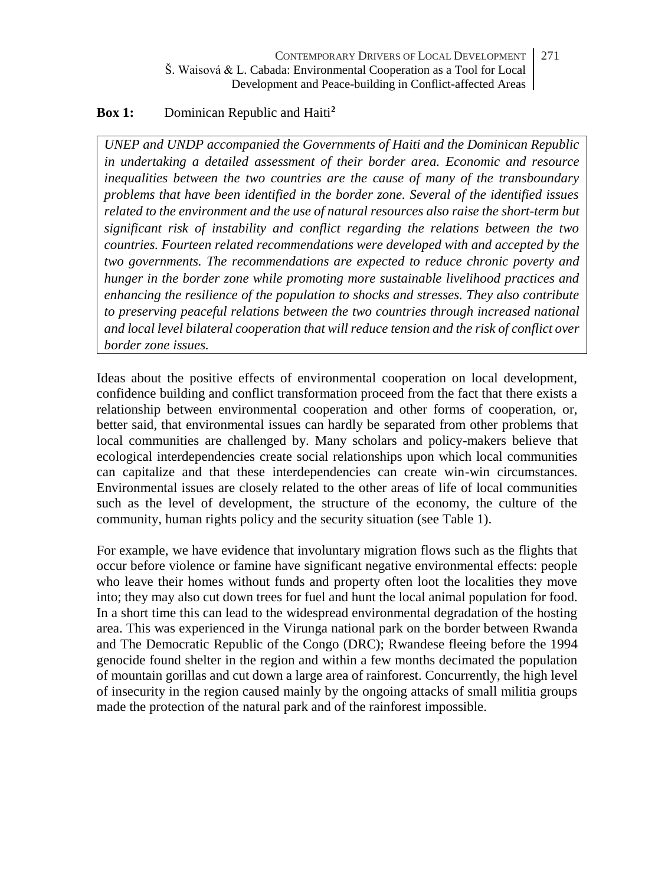# **Box 1:** Dominican Republic and Haiti**<sup>2</sup>**

*UNEP and UNDP accompanied the Governments of Haiti and the Dominican Republic in undertaking a detailed assessment of their border area. Economic and resource inequalities between the two countries are the cause of many of the transboundary problems that have been identified in the border zone. Several of the identified issues related to the environment and the use of natural resources also raise the short-term but significant risk of instability and conflict regarding the relations between the two countries. Fourteen related recommendations were developed with and accepted by the two governments. The recommendations are expected to reduce chronic poverty and hunger in the border zone while promoting more sustainable livelihood practices and enhancing the resilience of the population to shocks and stresses. They also contribute to preserving peaceful relations between the two countries through increased national and local level bilateral cooperation that will reduce tension and the risk of conflict over border zone issues.*

Ideas about the positive effects of environmental cooperation on local development, confidence building and conflict transformation proceed from the fact that there exists a relationship between environmental cooperation and other forms of cooperation, or, better said, that environmental issues can hardly be separated from other problems that local communities are challenged by. Many scholars and policy-makers believe that ecological interdependencies create social relationships upon which local communities can capitalize and that these interdependencies can create win-win circumstances. Environmental issues are closely related to the other areas of life of local communities such as the level of development, the structure of the economy, the culture of the community, human rights policy and the security situation (see Table 1).

For example, we have evidence that involuntary migration flows such as the flights that occur before violence or famine have significant negative environmental effects: people who leave their homes without funds and property often loot the localities they move into; they may also cut down trees for fuel and hunt the local animal population for food. In a short time this can lead to the widespread environmental degradation of the hosting area. This was experienced in the Virunga national park on the border between Rwanda and The Democratic Republic of the Congo (DRC); Rwandese fleeing before the 1994 genocide found shelter in the region and within a few months decimated the population of mountain gorillas and cut down a large area of rainforest. Concurrently, the high level of insecurity in the region caused mainly by the ongoing attacks of small militia groups made the protection of the natural park and of the rainforest impossible.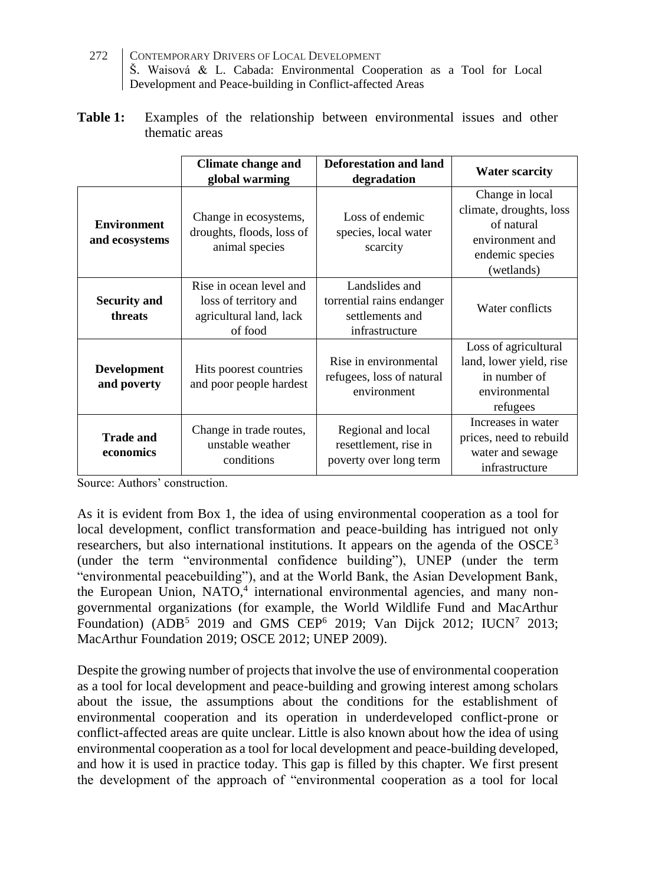- 272 CONTEMPORARY DRIVERS OF LOCAL DEVELOPMENT Š. Waisová & L. Cabada: Environmental Cooperation as a Tool for Local Development and Peace-building in Conflict-affected Areas
- **Table 1:** Examples of the relationship between environmental issues and other thematic areas

|                                      | <b>Climate change and</b><br>global warming                                            | Deforestation and land<br>degradation                                            | <b>Water scarcity</b>                                                                                        |
|--------------------------------------|----------------------------------------------------------------------------------------|----------------------------------------------------------------------------------|--------------------------------------------------------------------------------------------------------------|
| <b>Environment</b><br>and ecosystems | Change in ecosystems,<br>droughts, floods, loss of<br>animal species                   | Loss of endemic<br>species, local water<br>scarcity                              | Change in local<br>climate, droughts, loss<br>of natural<br>environment and<br>endemic species<br>(wetlands) |
| <b>Security and</b><br>threats       | Rise in ocean level and<br>loss of territory and<br>agricultural land, lack<br>of food | Landslides and<br>torrential rains endanger<br>settlements and<br>infrastructure | Water conflicts                                                                                              |
| <b>Development</b><br>and poverty    | Hits poorest countries<br>and poor people hardest                                      | Rise in environmental<br>refugees, loss of natural<br>environment                | Loss of agricultural<br>land, lower yield, rise<br>in number of<br>environmental<br>refugees                 |
| <b>Trade and</b><br>economics        | Change in trade routes,<br>unstable weather<br>conditions                              | Regional and local<br>resettlement, rise in<br>poverty over long term            | Increases in water<br>prices, need to rebuild<br>water and sewage<br>infrastructure                          |

Source: Authors' construction.

As it is evident from Box 1, the idea of using environmental cooperation as a tool for local development, conflict transformation and peace-building has intrigued not only researchers, but also international institutions. It appears on the agenda of the  $OSCE<sup>3</sup>$ (under the term "environmental confidence building"), UNEP (under the term "environmental peacebuilding"), and at the World Bank, the Asian Development Bank, the European Union, NATO,<sup>4</sup> international environmental agencies, and many nongovernmental organizations (for example, the World Wildlife Fund and MacArthur Foundation) (ADB<sup>5</sup> 2019 and GMS CEP<sup>6</sup> 2019; Van Dijck 2012; IUCN<sup>7</sup> 2013; MacArthur Foundation 2019; OSCE 2012; UNEP 2009).

Despite the growing number of projects that involve the use of environmental cooperation as a tool for local development and peace-building and growing interest among scholars about the issue, the assumptions about the conditions for the establishment of environmental cooperation and its operation in underdeveloped conflict-prone or conflict-affected areas are quite unclear. Little is also known about how the idea of using environmental cooperation as a tool for local development and peace-building developed, and how it is used in practice today. This gap is filled by this chapter. We first present the development of the approach of "environmental cooperation as a tool for local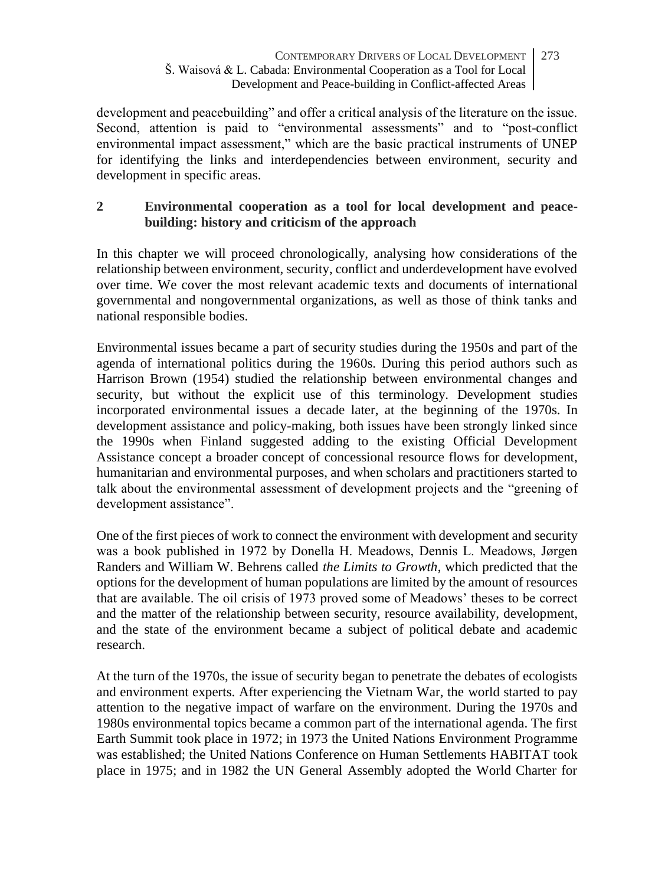development and peacebuilding" and offer a critical analysis of the literature on the issue. Second, attention is paid to "environmental assessments" and to "post-conflict environmental impact assessment," which are the basic practical instruments of UNEP for identifying the links and interdependencies between environment, security and development in specific areas.

# **2 Environmental cooperation as a tool for local development and peacebuilding: history and criticism of the approach**

In this chapter we will proceed chronologically, analysing how considerations of the relationship between environment, security, conflict and underdevelopment have evolved over time. We cover the most relevant academic texts and documents of international governmental and nongovernmental organizations, as well as those of think tanks and national responsible bodies.

Environmental issues became a part of security studies during the 1950s and part of the agenda of international politics during the 1960s. During this period authors such as Harrison Brown (1954) studied the relationship between environmental changes and security, but without the explicit use of this terminology. Development studies incorporated environmental issues a decade later, at the beginning of the 1970s. In development assistance and policy-making, both issues have been strongly linked since the 1990s when Finland suggested adding to the existing Official Development Assistance concept a broader concept of concessional resource flows for development, humanitarian and environmental purposes, and when scholars and practitioners started to talk about the environmental assessment of development projects and the "greening of development assistance".

One of the first pieces of work to connect the environment with development and security was a book published in 1972 by Donella H. Meadows, Dennis L. Meadows, Jørgen Randers and William W. Behrens called *the Limits to Growth*, which predicted that the options for the development of human populations are limited by the amount of resources that are available. The oil crisis of 1973 proved some of Meadows' theses to be correct and the matter of the relationship between security, resource availability, development, and the state of the environment became a subject of political debate and academic research.

At the turn of the 1970s, the issue of security began to penetrate the debates of ecologists and environment experts. After experiencing the Vietnam War, the world started to pay attention to the negative impact of warfare on the environment. During the 1970s and 1980s environmental topics became a common part of the international agenda. The first Earth Summit took place in 1972; in 1973 the United Nations Environment Programme was established; the United Nations Conference on Human Settlements HABITAT took place in 1975; and in 1982 the UN General Assembly adopted the World Charter for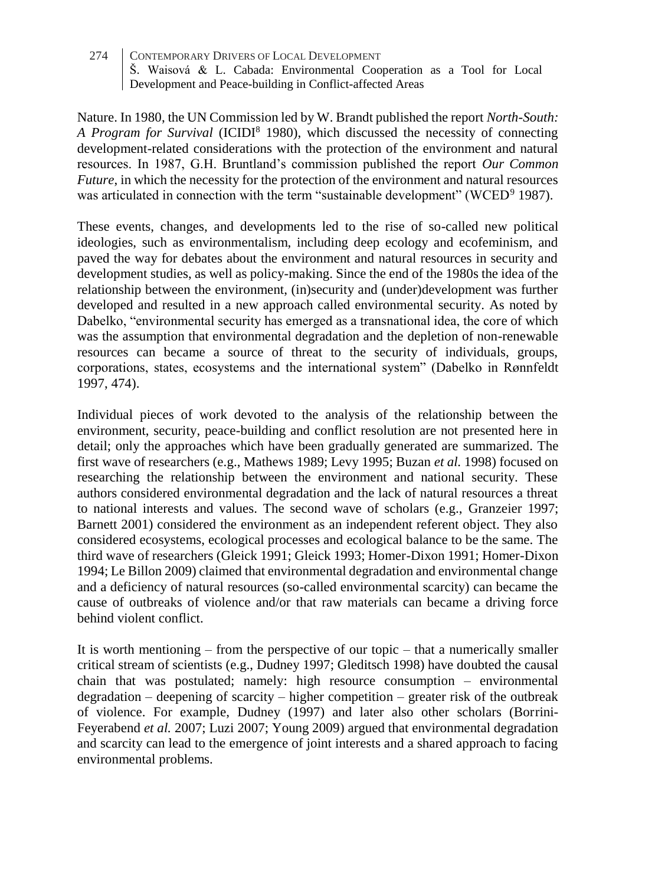Nature. In 1980, the UN Commission led by W. Brandt published the report *North-South: A Program for Survival* (ICIDI<sup>8</sup> 1980), which discussed the necessity of connecting development-related considerations with the protection of the environment and natural resources. In 1987, G.H. Bruntland's commission published the report *Our Common Future*, in which the necessity for the protection of the environment and natural resources was articulated in connection with the term "sustainable development" (WCED<sup>9</sup> 1987).

These events, changes, and developments led to the rise of so-called new political ideologies, such as environmentalism, including deep ecology and ecofeminism, and paved the way for debates about the environment and natural resources in security and development studies, as well as policy-making. Since the end of the 1980s the idea of the relationship between the environment, (in)security and (under)development was further developed and resulted in a new approach called environmental security. As noted by Dabelko, "environmental security has emerged as a transnational idea, the core of which was the assumption that environmental degradation and the depletion of non-renewable resources can became a source of threat to the security of individuals, groups, corporations, states, ecosystems and the international system" (Dabelko in Rønnfeldt 1997, 474).

Individual pieces of work devoted to the analysis of the relationship between the environment, security, peace-building and conflict resolution are not presented here in detail; only the approaches which have been gradually generated are summarized. The first wave of researchers (e.g., Mathews 1989; Levy 1995; Buzan *et al.* 1998) focused on researching the relationship between the environment and national security. These authors considered environmental degradation and the lack of natural resources a threat to national interests and values. The second wave of scholars (e.g., Granzeier 1997; Barnett 2001) considered the environment as an independent referent object. They also considered ecosystems, ecological processes and ecological balance to be the same. The third wave of researchers (Gleick 1991; Gleick 1993; Homer-Dixon 1991; Homer-Dixon 1994; Le Billon 2009) claimed that environmental degradation and environmental change and a deficiency of natural resources (so-called environmental scarcity) can became the cause of outbreaks of violence and/or that raw materials can became a driving force behind violent conflict.

It is worth mentioning  $-$  from the perspective of our topic  $-$  that a numerically smaller critical stream of scientists (e.g., Dudney 1997; Gleditsch 1998) have doubted the causal chain that was postulated; namely: high resource consumption – environmental degradation – deepening of scarcity – higher competition – greater risk of the outbreak of violence. For example, Dudney (1997) and later also other scholars (Borrini-Feyerabend *et al.* 2007; Luzi 2007; Young 2009) argued that environmental degradation and scarcity can lead to the emergence of joint interests and a shared approach to facing environmental problems.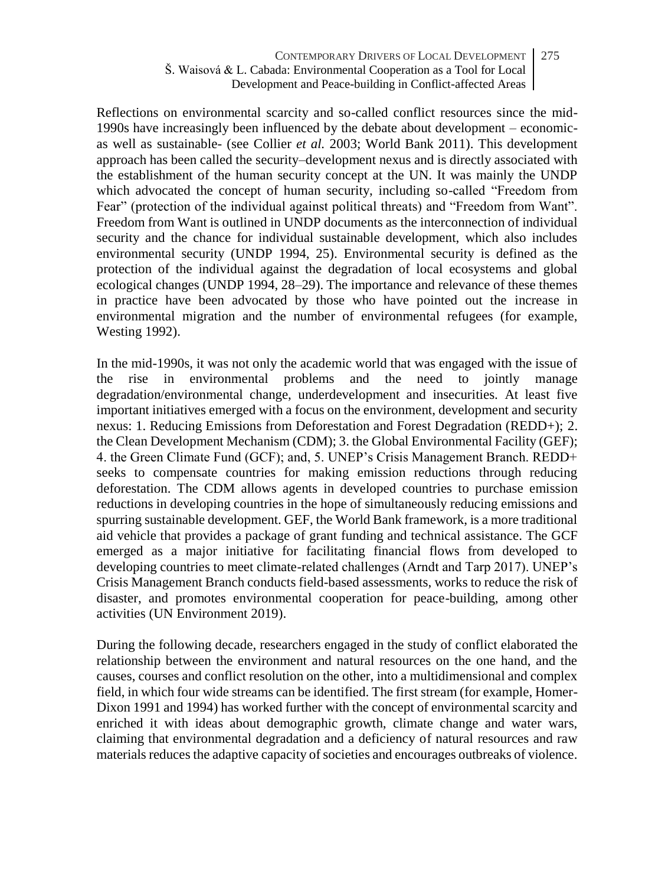Reflections on environmental scarcity and so-called conflict resources since the mid-1990s have increasingly been influenced by the debate about development – economicas well as sustainable- (see Collier *et al.* 2003; World Bank 2011). This development approach has been called the security–development nexus and is directly associated with the establishment of the human security concept at the UN. It was mainly the UNDP which advocated the concept of human security, including so-called "Freedom from Fear" (protection of the individual against political threats) and "Freedom from Want". Freedom from Want is outlined in UNDP documents as the interconnection of individual security and the chance for individual sustainable development, which also includes environmental security (UNDP 1994, 25). Environmental security is defined as the protection of the individual against the degradation of local ecosystems and global ecological changes (UNDP 1994, 28–29). The importance and relevance of these themes in practice have been advocated by those who have pointed out the increase in environmental migration and the number of environmental refugees (for example, Westing 1992).

In the mid-1990s, it was not only the academic world that was engaged with the issue of the rise in environmental problems and the need to jointly manage degradation/environmental change, underdevelopment and insecurities. At least five important initiatives emerged with a focus on the environment, development and security nexus: 1. Reducing Emissions from Deforestation and Forest Degradation (REDD+); 2. the Clean Development Mechanism (CDM); 3. the Global Environmental Facility (GEF); 4. the Green Climate Fund (GCF); and, 5. UNEP's Crisis Management Branch. REDD+ seeks to compensate countries for making emission reductions through reducing deforestation. The CDM allows agents in developed countries to purchase emission reductions in developing countries in the hope of simultaneously reducing emissions and spurring sustainable development. GEF, the World Bank framework, is a more traditional aid vehicle that provides a package of grant funding and technical assistance. The GCF emerged as a major initiative for facilitating financial flows from developed to developing countries to meet climate-related challenges (Arndt and Tarp 2017). UNEP's Crisis Management Branch conducts field-based assessments, works to reduce the risk of disaster, and promotes environmental cooperation for peace-building, among other activities (UN Environment 2019).

During the following decade, researchers engaged in the study of conflict elaborated the relationship between the environment and natural resources on the one hand, and the causes, courses and conflict resolution on the other, into a multidimensional and complex field, in which four wide streams can be identified. The first stream (for example, Homer-Dixon 1991 and 1994) has worked further with the concept of environmental scarcity and enriched it with ideas about demographic growth, climate change and water wars, claiming that environmental degradation and a deficiency of natural resources and raw materials reduces the adaptive capacity of societies and encourages outbreaks of violence.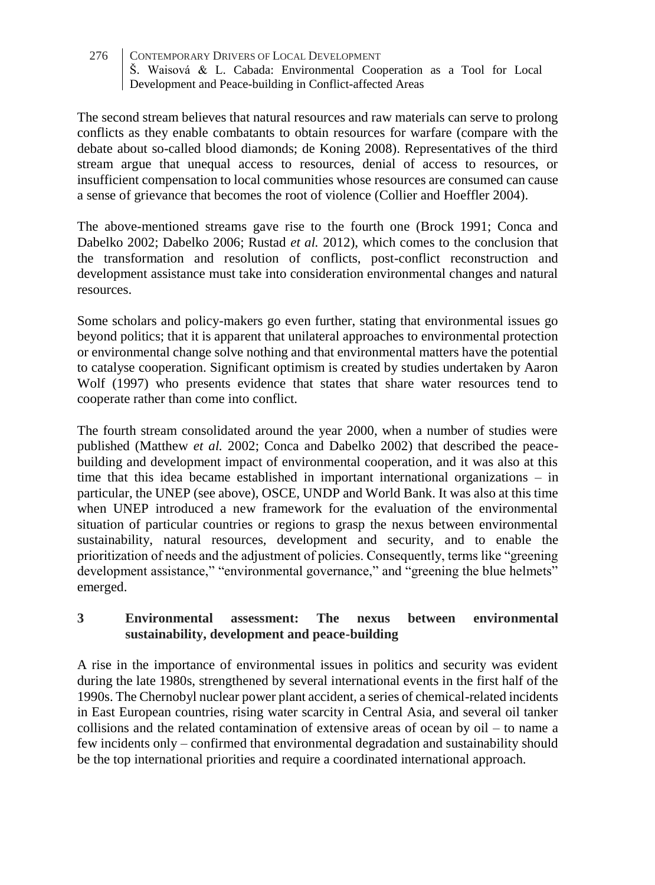The second stream believes that natural resources and raw materials can serve to prolong conflicts as they enable combatants to obtain resources for warfare (compare with the debate about so-called blood diamonds; de Koning 2008). Representatives of the third stream argue that unequal access to resources, denial of access to resources, or insufficient compensation to local communities whose resources are consumed can cause a sense of grievance that becomes the root of violence (Collier and Hoeffler 2004).

The above-mentioned streams gave rise to the fourth one (Brock 1991; Conca and Dabelko 2002; Dabelko 2006; Rustad *et al.* 2012), which comes to the conclusion that the transformation and resolution of conflicts, post-conflict reconstruction and development assistance must take into consideration environmental changes and natural resources.

Some scholars and policy-makers go even further, stating that environmental issues go beyond politics; that it is apparent that unilateral approaches to environmental protection or environmental change solve nothing and that environmental matters have the potential to catalyse cooperation. Significant optimism is created by studies undertaken by Aaron Wolf (1997) who presents evidence that states that share water resources tend to cooperate rather than come into conflict.

The fourth stream consolidated around the year 2000, when a number of studies were published (Matthew *et al.* 2002; Conca and Dabelko 2002) that described the peacebuilding and development impact of environmental cooperation, and it was also at this time that this idea became established in important international organizations – in particular, the UNEP (see above), OSCE, UNDP and World Bank. It was also at this time when UNEP introduced a new framework for the evaluation of the environmental situation of particular countries or regions to grasp the nexus between environmental sustainability, natural resources, development and security, and to enable the prioritization of needs and the adjustment of policies. Consequently, terms like "greening development assistance," "environmental governance," and "greening the blue helmets" emerged.

# **3 Environmental assessment: The nexus between environmental sustainability, development and peace-building**

A rise in the importance of environmental issues in politics and security was evident during the late 1980s, strengthened by several international events in the first half of the 1990s. The Chernobyl nuclear power plant accident, a series of chemical-related incidents in East European countries, rising water scarcity in Central Asia, and several oil tanker collisions and the related contamination of extensive areas of ocean by  $\delta$  – to name a few incidents only – confirmed that environmental degradation and sustainability should be the top international priorities and require a coordinated international approach.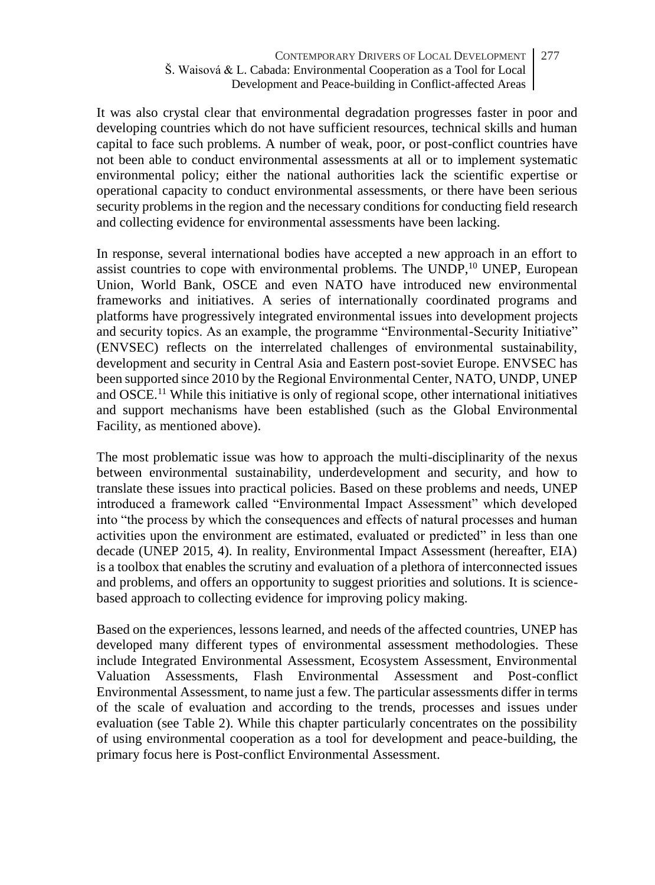It was also crystal clear that environmental degradation progresses faster in poor and developing countries which do not have sufficient resources, technical skills and human capital to face such problems. A number of weak, poor, or post-conflict countries have not been able to conduct environmental assessments at all or to implement systematic environmental policy; either the national authorities lack the scientific expertise or operational capacity to conduct environmental assessments, or there have been serious security problems in the region and the necessary conditions for conducting field research and collecting evidence for environmental assessments have been lacking.

In response, several international bodies have accepted a new approach in an effort to assist countries to cope with environmental problems. The UNDP,<sup>10</sup> UNEP, European Union, World Bank, OSCE and even NATO have introduced new environmental frameworks and initiatives. A series of internationally coordinated programs and platforms have progressively integrated environmental issues into development projects and security topics. As an example, the programme "Environmental-Security Initiative" (ENVSEC) reflects on the interrelated challenges of environmental sustainability, development and security in Central Asia and Eastern post-soviet Europe. ENVSEC has been supported since 2010 by the Regional Environmental Center, NATO, UNDP, UNEP and OSCE.<sup>11</sup> While this initiative is only of regional scope, other international initiatives and support mechanisms have been established (such as the Global Environmental Facility, as mentioned above).

The most problematic issue was how to approach the multi-disciplinarity of the nexus between environmental sustainability, underdevelopment and security, and how to translate these issues into practical policies. Based on these problems and needs, UNEP introduced a framework called "Environmental Impact Assessment" which developed into "the process by which the consequences and effects of natural processes and human activities upon the environment are estimated, evaluated or predicted" in less than one decade (UNEP 2015, 4). In reality, Environmental Impact Assessment (hereafter, EIA) is a toolbox that enables the scrutiny and evaluation of a plethora of interconnected issues and problems, and offers an opportunity to suggest priorities and solutions. It is sciencebased approach to collecting evidence for improving policy making.

Based on the experiences, lessons learned, and needs of the affected countries, UNEP has developed many different types of environmental assessment methodologies. These include Integrated Environmental Assessment, Ecosystem Assessment, Environmental Valuation Assessments, Flash Environmental Assessment and Post-conflict Environmental Assessment, to name just a few. The particular assessments differ in terms of the scale of evaluation and according to the trends, processes and issues under evaluation (see Table 2). While this chapter particularly concentrates on the possibility of using environmental cooperation as a tool for development and peace-building, the primary focus here is Post-conflict Environmental Assessment.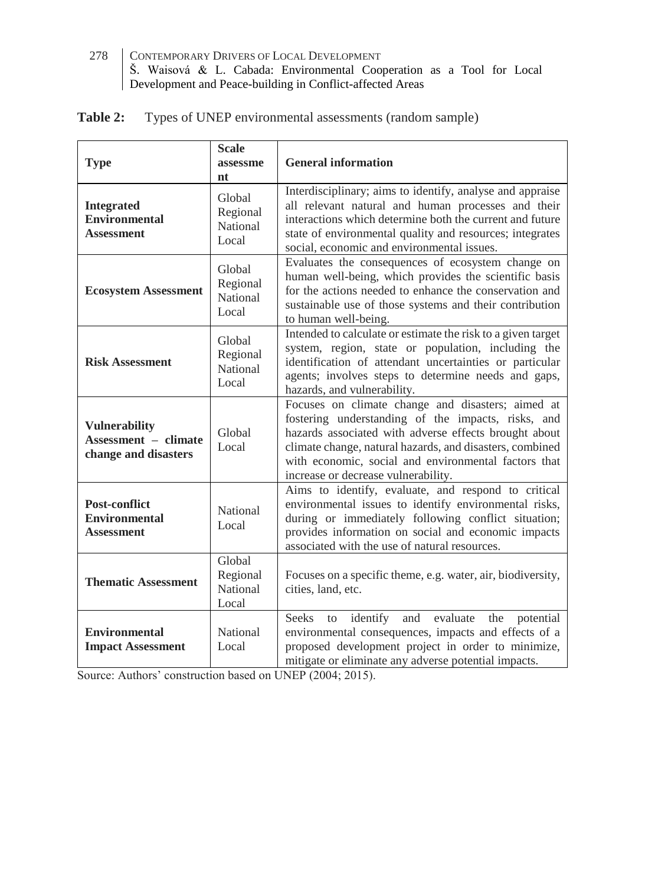| Table 2: | Types of UNEP environmental assessments (random sample) |  |  |  |
|----------|---------------------------------------------------------|--|--|--|
|----------|---------------------------------------------------------|--|--|--|

| <b>Type</b>                                                                 | <b>Scale</b><br>assessme<br>nt          | <b>General information</b>                                                                                                                                                                                                                                                                                                  |
|-----------------------------------------------------------------------------|-----------------------------------------|-----------------------------------------------------------------------------------------------------------------------------------------------------------------------------------------------------------------------------------------------------------------------------------------------------------------------------|
| <b>Integrated</b><br><b>Environmental</b><br>Assessment                     | Global<br>Regional<br>National<br>Local | Interdisciplinary; aims to identify, analyse and appraise<br>all relevant natural and human processes and their<br>interactions which determine both the current and future<br>state of environmental quality and resources; integrates<br>social, economic and environmental issues.                                       |
| <b>Ecosystem Assessment</b>                                                 | Global<br>Regional<br>National<br>Local | Evaluates the consequences of ecosystem change on<br>human well-being, which provides the scientific basis<br>for the actions needed to enhance the conservation and<br>sustainable use of those systems and their contribution<br>to human well-being.                                                                     |
| <b>Risk Assessment</b>                                                      | Global<br>Regional<br>National<br>Local | Intended to calculate or estimate the risk to a given target<br>system, region, state or population, including the<br>identification of attendant uncertainties or particular<br>agents; involves steps to determine needs and gaps,<br>hazards, and vulnerability.                                                         |
| <b>Vulnerability</b><br><b>Assessment - climate</b><br>change and disasters | Global<br>Local                         | Focuses on climate change and disasters; aimed at<br>fostering understanding of the impacts, risks, and<br>hazards associated with adverse effects brought about<br>climate change, natural hazards, and disasters, combined<br>with economic, social and environmental factors that<br>increase or decrease vulnerability. |
| <b>Post-conflict</b><br><b>Environmental</b><br><b>Assessment</b>           | National<br>Local                       | Aims to identify, evaluate, and respond to critical<br>environmental issues to identify environmental risks,<br>during or immediately following conflict situation;<br>provides information on social and economic impacts<br>associated with the use of natural resources.                                                 |
| <b>Thematic Assessment</b>                                                  | Global<br>Regional<br>National<br>Local | Focuses on a specific theme, e.g. water, air, biodiversity,<br>cities, land, etc.                                                                                                                                                                                                                                           |
| <b>Environmental</b><br><b>Impact Assessment</b>                            | National<br>Local                       | <b>Seeks</b><br>identify<br>and<br>evaluate the potential<br>to<br>environmental consequences, impacts and effects of a<br>proposed development project in order to minimize,<br>mitigate or eliminate any adverse potential impacts.                                                                                       |

Source: Authors' construction based on UNEP (2004; 2015).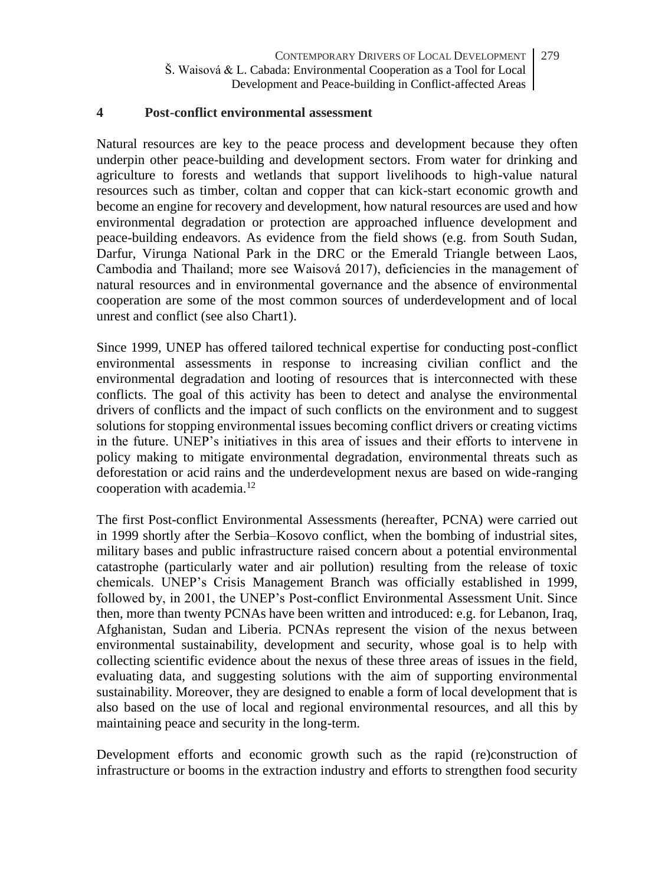### **4 Post-conflict environmental assessment**

Natural resources are key to the peace process and development because they often underpin other peace-building and development sectors. From water for drinking and agriculture to forests and wetlands that support livelihoods to high-value natural resources such as timber, coltan and copper that can kick-start economic growth and become an engine for recovery and development, how natural resources are used and how environmental degradation or protection are approached influence development and peace-building endeavors. As evidence from the field shows (e.g. from South Sudan, Darfur, Virunga National Park in the DRC or the Emerald Triangle between Laos, Cambodia and Thailand; more see Waisová 2017), deficiencies in the management of natural resources and in environmental governance and the absence of environmental cooperation are some of the most common sources of underdevelopment and of local unrest and conflict (see also Chart1).

Since 1999, UNEP has offered tailored technical expertise for conducting post-conflict environmental assessments in response to increasing civilian conflict and the environmental degradation and looting of resources that is interconnected with these conflicts. The goal of this activity has been to detect and analyse the environmental drivers of conflicts and the impact of such conflicts on the environment and to suggest solutions for stopping environmental issues becoming conflict drivers or creating victims in the future. UNEP's initiatives in this area of issues and their efforts to intervene in policy making to mitigate environmental degradation, environmental threats such as deforestation or acid rains and the underdevelopment nexus are based on wide-ranging cooperation with academia.<sup>12</sup>

The first Post-conflict Environmental Assessments (hereafter, PCNA) were carried out in 1999 shortly after the Serbia–Kosovo conflict, when the bombing of industrial sites, military bases and public infrastructure raised concern about a potential environmental catastrophe (particularly water and air pollution) resulting from the release of toxic chemicals. UNEP's Crisis Management Branch was officially established in 1999, followed by, in 2001, the UNEP's Post-conflict Environmental Assessment Unit. Since then, more than twenty PCNAs have been written and introduced: e.g. for Lebanon, Iraq, Afghanistan, Sudan and Liberia. PCNAs represent the vision of the nexus between environmental sustainability, development and security, whose goal is to help with collecting scientific evidence about the nexus of these three areas of issues in the field, evaluating data, and suggesting solutions with the aim of supporting environmental sustainability. Moreover, they are designed to enable a form of local development that is also based on the use of local and regional environmental resources, and all this by maintaining peace and security in the long-term.

Development efforts and economic growth such as the rapid (re)construction of infrastructure or booms in the extraction industry and efforts to strengthen food security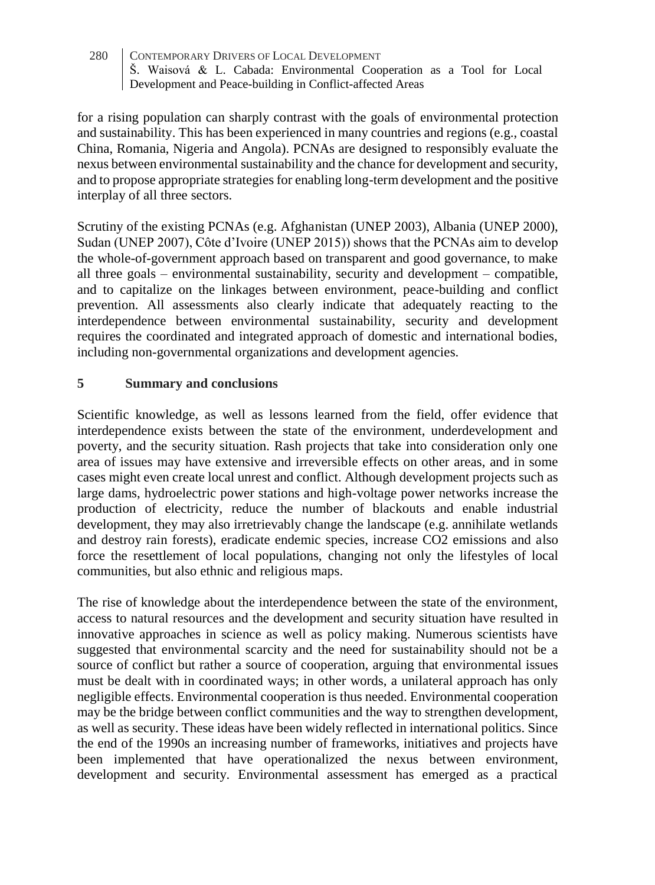for a rising population can sharply contrast with the goals of environmental protection and sustainability. This has been experienced in many countries and regions (e.g., coastal China, Romania, Nigeria and Angola). PCNAs are designed to responsibly evaluate the nexus between environmental sustainability and the chance for development and security, and to propose appropriate strategies for enabling long-term development and the positive interplay of all three sectors.

Scrutiny of the existing PCNAs (e.g. Afghanistan (UNEP 2003), Albania (UNEP 2000), Sudan (UNEP 2007), Côte d'Ivoire (UNEP 2015)) shows that the PCNAs aim to develop the whole-of-government approach based on transparent and good governance, to make all three goals – environmental sustainability, security and development – compatible, and to capitalize on the linkages between environment, peace-building and conflict prevention. All assessments also clearly indicate that adequately reacting to the interdependence between environmental sustainability, security and development requires the coordinated and integrated approach of domestic and international bodies, including non-governmental organizations and development agencies.

### **5 Summary and conclusions**

Scientific knowledge, as well as lessons learned from the field, offer evidence that interdependence exists between the state of the environment, underdevelopment and poverty, and the security situation. Rash projects that take into consideration only one area of issues may have extensive and irreversible effects on other areas, and in some cases might even create local unrest and conflict. Although development projects such as large dams, hydroelectric power stations and high-voltage power networks increase the production of electricity, reduce the number of blackouts and enable industrial development, they may also irretrievably change the landscape (e.g. annihilate wetlands and destroy rain forests), eradicate endemic species, increase CO2 emissions and also force the resettlement of local populations, changing not only the lifestyles of local communities, but also ethnic and religious maps.

The rise of knowledge about the interdependence between the state of the environment, access to natural resources and the development and security situation have resulted in innovative approaches in science as well as policy making. Numerous scientists have suggested that environmental scarcity and the need for sustainability should not be a source of conflict but rather a source of cooperation, arguing that environmental issues must be dealt with in coordinated ways; in other words, a unilateral approach has only negligible effects. Environmental cooperation is thus needed. Environmental cooperation may be the bridge between conflict communities and the way to strengthen development, as well as security. These ideas have been widely reflected in international politics. Since the end of the 1990s an increasing number of frameworks, initiatives and projects have been implemented that have operationalized the nexus between environment, development and security. Environmental assessment has emerged as a practical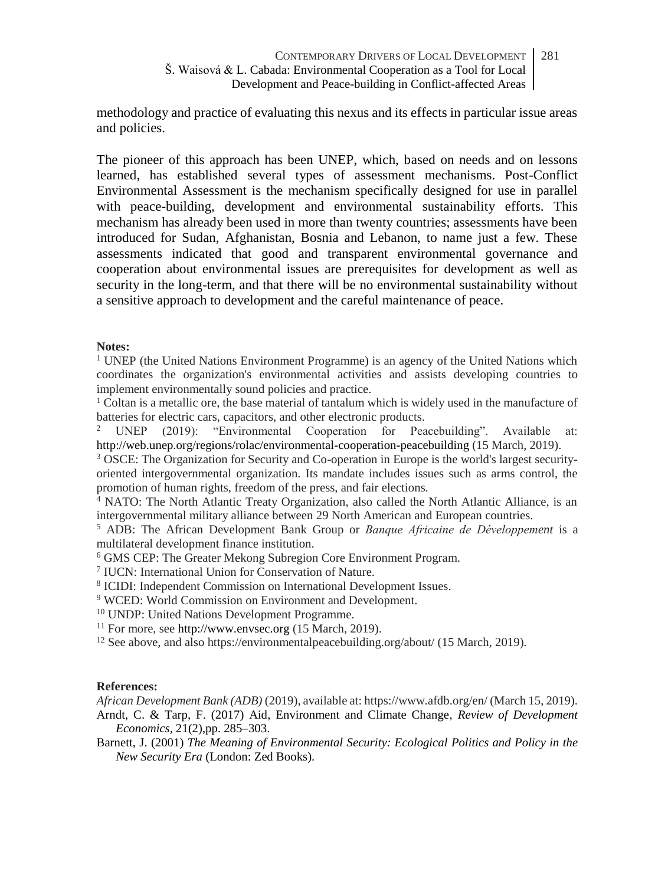methodology and practice of evaluating this nexus and its effects in particular issue areas and policies.

The pioneer of this approach has been UNEP, which, based on needs and on lessons learned, has established several types of assessment mechanisms. Post-Conflict Environmental Assessment is the mechanism specifically designed for use in parallel with peace-building, development and environmental sustainability efforts. This mechanism has already been used in more than twenty countries; assessments have been introduced for Sudan, Afghanistan, Bosnia and Lebanon, to name just a few. These assessments indicated that good and transparent environmental governance and cooperation about environmental issues are prerequisites for development as well as security in the long-term, and that there will be no environmental sustainability without a sensitive approach to development and the careful maintenance of peace.

### **Notes:**

 $1$  UNEP (the United Nations Environment Programme) is an agency of the United Nations which coordinates the organization's environmental activities and assists developing countries to implement environmentally sound policies and practice.

 $1$  Coltan is a metallic ore, the base material of tantalum which is widely used in the manufacture of batteries for electric cars, capacitors, and other electronic products.<br><sup>2</sup> **IDEP** (2019) "Environmental Cooperation for Pea

<sup>2</sup> UNEP (2019): "Environmental Cooperation for Peacebuilding". Available at: <http://web.unep.org/regions/rolac/environmental-cooperation-peacebuilding> (15 March, 2019).

<sup>3</sup> OSCE: The Organization for Security and Co-operation in Europe is the world's largest securityoriented intergovernmental organization. Its mandate includes issues such as arms control, the promotion of human rights, freedom of the press, and fair elections.

<sup>4</sup> NATO: The North Atlantic Treaty Organization, also called the North Atlantic Alliance, is an intergovernmental military alliance between 29 North American and European countries.

<sup>5</sup> ADB: The African Development Bank Group or *Banque Africaine de Développement* is a multilateral development finance institution.

<sup>6</sup> GMS CEP: The Greater Mekong Subregion Core Environment Program.

7 IUCN: International Union for Conservation of Nature.

8 ICIDI: Independent Commission on International Development Issues.

<sup>9</sup> WCED: World Commission on Environment and Development.

<sup>10</sup> UNDP: United Nations Development Programme.

<sup>11</sup> For more, se[e http://www.envsec.org](http://www.envsec.org/) (15 March, 2019).

<sup>12</sup> See above, and also https://environmentalpeacebuilding.org/about/ (15 March, 2019).

### **References:**

*African Development Bank (ADB)* (2019), available at: https://www.afdb.org/en/ (March 15, 2019).

Arndt, C. & Tarp, F. (2017) Aid, Environment and Climate Change, *Review of Development Economics,* 21(2),pp. 285–303.

Barnett, J. (2001) *The Meaning of Environmental Security: Ecological Politics and Policy in the New Security Era* (London: Zed Books).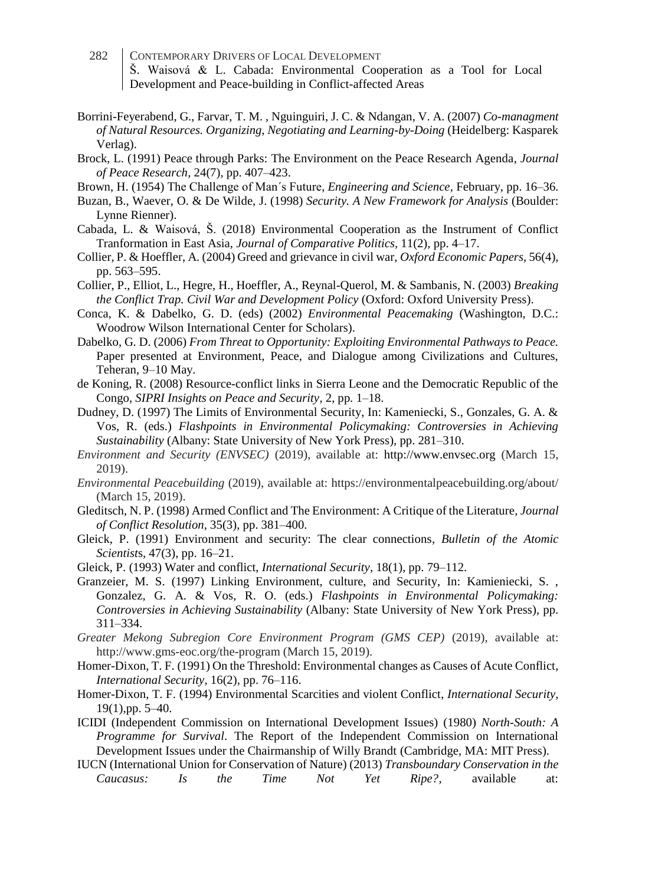- 282 CONTEMPORARY DRIVERS OF LOCAL DEVELOPMENT Š. Waisová & L. Cabada: Environmental Cooperation as a Tool for Local Development and Peace-building in Conflict-affected Areas
- Borrini-Feyerabend, G., Farvar, T. M. , Nguinguiri, J. C. & Ndangan, V. A. (2007) *Co-managment of Natural Resources. Organizing, Negotiating and Learning-by-Doing* (Heidelberg: Kasparek Verlag).
- Brock, L. (1991) Peace through Parks: The Environment on the Peace Research Agenda, *Journal of Peace Research,* 24(7), pp. 407–423.
- Brown, H. (1954) The Challenge of Man´s Future, *Engineering and Science,* February, pp. 16–36.
- Buzan, B., Waever, O. & De Wilde, J. (1998) *Security. A New Framework for Analysis* (Boulder: Lynne Rienner).
- Cabada, L. & Waisová, Š. (2018) Environmental Cooperation as the Instrument of Conflict Tranformation in East Asia, *Journal of Comparative Politics,* 11(2), pp. 4–17.
- Collier, P. & Hoeffler, A. (2004) Greed and grievance in civil war, *Oxford Economic Papers,* 56(4), pp. 563–595.
- Collier, P., Elliot, L., Hegre, H., Hoeffler, A., Reynal-Querol, M. & Sambanis, N. (2003) *Breaking the Conflict Trap. Civil War and Development Policy* (Oxford: Oxford University Press).
- Conca, K. & Dabelko, G. D. (eds) (2002) *Environmental Peacemaking* (Washington, D.C.: Woodrow Wilson International Center for Scholars).
- Dabelko, G. D. (2006) *From Threat to Opportunity: Exploiting Environmental Pathways to Peace.*  Paper presented at Environment, Peace, and Dialogue among Civilizations and Cultures, Teheran, 9–10 May.
- de Koning, R. (2008) Resource-conflict links in Sierra Leone and the Democratic Republic of the Congo, *SIPRI Insights on Peace and Security,* 2, pp. 1–18.
- Dudney, D. (1997) The Limits of Environmental Security, In: Kameniecki, S., Gonzales, G. A. & Vos, R. (eds.) *Flashpoints in Environmental Policymaking: Controversies in Achieving Sustainability* (Albany: State University of New York Press), pp. 281–310.
- *Environment and Security (ENVSEC)* (2019), available at: [http://www.envsec.org](http://www.envsec.org/) (March 15, 2019).
- *Environmental Peacebuilding* (2019), available at: https://environmentalpeacebuilding.org/about/ (March 15, 2019).
- Gleditsch, N. P. (1998) Armed Conflict and The Environment: A Critique of the Literature, *Journal of Conflict Resolution,* 35(3), pp. 381–400.
- Gleick, P. (1991) Environment and security: The clear connections, *Bulletin of the Atomic Scientist*s, 47(3), pp. 16–21.
- Gleick, P. (1993) Water and conflict, *International Security,* 18(1), pp. 79–112.
- Granzeier, M. S. (1997) Linking Environment, culture, and Security, In: Kamieniecki, S. , Gonzalez, G. A. & Vos, R. O. (eds.) *Flashpoints in Environmental Policymaking: Controversies in Achieving Sustainability* (Albany: State University of New York Press), pp. 311–334.
- *Greater Mekong Subregion Core Environment Program (GMS CEP)* (2019), available at: http://www.gms-eoc.org/the-program (March 15, 2019).
- Homer-Dixon, T. F. (1991) On the Threshold: Environmental changes as Causes of Acute Conflict, *International Security,* 16(2), pp. 76–116.
- Homer-Dixon, T. F. (1994) Environmental Scarcities and violent Conflict, *International Security,* 19(1),pp. 5–40.
- ICIDI (Independent Commission on International Development Issues) (1980) *North-South: A Programme for Survival*. The Report of the Independent Commission on International Development Issues under the Chairmanship of Willy Brandt (Cambridge, MA: MIT Press).
- IUCN (International Union for Conservation of Nature) (2013) *Transboundary Conservation in the Caucasus: Is the Time Not Yet Ripe?,* available at: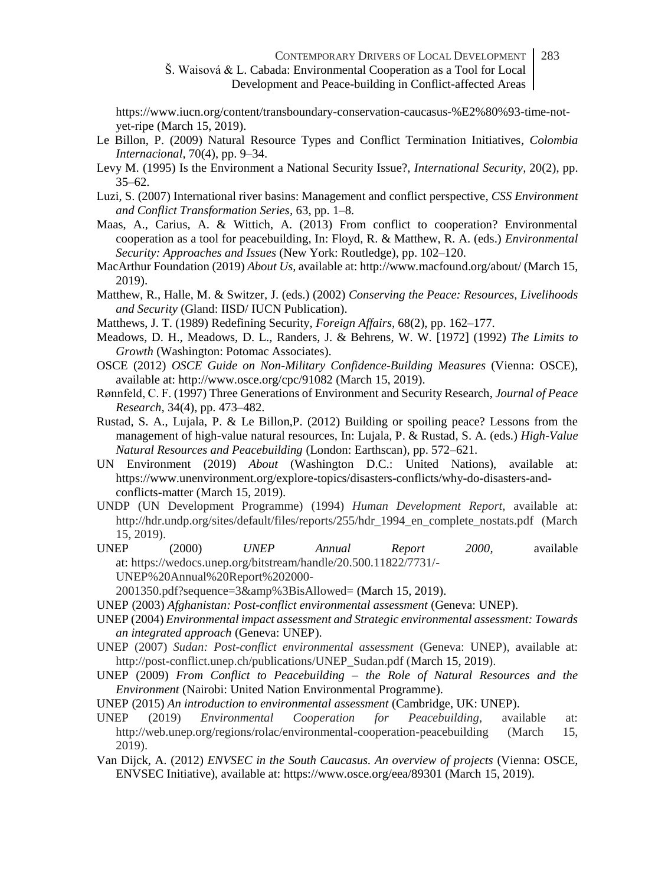https://www.iucn.org/content/transboundary-conservation-caucasus-%E2%80%93-time-notyet-ripe (March 15, 2019).

- Le Billon, P. (2009) Natural Resource Types and Conflict Termination Initiatives, *Colombia Internacional,* 70(4), pp. 9–34.
- Levy M. (1995) Is the Environment a National Security Issue?, *International Security,* 20(2), pp. 35–62.
- Luzi, S. (2007) International river basins: Management and conflict perspective, *CSS Environment and Conflict Transformation Series,* 63, pp. 1–8.
- Maas, A., Carius, A. & Wittich, A. (2013) From conflict to cooperation? Environmental cooperation as a tool for peacebuilding, In: Floyd, R. & Matthew, R. A. (eds.) *Environmental Security: Approaches and Issues* (New York: Routledge), pp. 102–120.
- MacArthur Foundation (2019) *About Us,* available at: http://www.macfound.org/about/ (March 15, 2019).
- Matthew, R., Halle, M. & Switzer, J. (eds.) (2002) *Conserving the Peace: Resources, Livelihoods and Security* (Gland: IISD/ IUCN Publication).
- Matthews, J. T. (1989) Redefining Security, *Foreign Affairs,* 68(2), pp. 162–177.
- Meadows, D. H., Meadows, D. L., Randers, J. & Behrens, W. W. [1972] (1992) *The Limits to Growth* (Washington: Potomac Associates).
- OSCE (2012) *OSCE Guide on Non-Military Confidence-Building Measures* (Vienna: OSCE), available at: http://www.osce.org/cpc/91082 (March 15, 2019).
- Rønnfeld, C. F. (1997) Three Generations of Environment and Security Research, *Journal of Peace Research,* 34(4), pp. 473–482.
- Rustad, S. A., Lujala, P. & Le Billon,P. (2012) Building or spoiling peace? Lessons from the management of high-value natural resources, In: Lujala, P. & Rustad, S. A. (eds.) *High-Value Natural Resources and Peacebuilding* (London: Earthscan), pp. 572–621.
- UN Environment (2019) *About* (Washington D.C.: United Nations), available at: https://www.unenvironment.org/explore-topics/disasters-conflicts/why-do-disasters-andconflicts-matter (March 15, 2019).
- UNDP (UN Development Programme) (1994) *Human Development Report,* available at: http://hdr.undp.org/sites/default/files/reports/255/hdr\_1994\_en\_complete\_nostats.pdf (March 15, 2019).<br>UNEP (2000)
- UNEP (2000) *UNEP Annual Report 2000,* available at: https://wedocs.unep.org/bitstream/handle/20.500.11822/7731/- UNEP%20Annual%20Report%202000-

2001350.pdf?sequence=3&amp%3BisAllowed= (March 15, 2019).

- UNEP (2003) *Afghanistan: Post-conflict environmental assessment* (Geneva: UNEP).
- UNEP (2004) *Environmental impact assessment and Strategic environmental assessment: Towards an integrated approach* (Geneva: UNEP).
- UNEP (2007) *Sudan: Post-conflict environmental assessment* (Geneva: UNEP), available at: http://post-conflict.unep.ch/publications/UNEP\_Sudan.pdf (March 15, 2019).
- UNEP (2009) *From Conflict to Peacebuilding – the Role of Natural Resources and the Environment* (Nairobi: United Nation Environmental Programme).
- UNEP (2015) *An introduction to environmental assessment* (Cambridge, UK: UNEP).
- UNEP (2019) *Environmental Cooperation for Peacebuilding*, available at: http://web.unep.org/regions/rolac/environmental-cooperation-peacebuilding (March 15, 2019).
- Van Dijck, A. (2012) *ENVSEC in the South Caucasus. An overview of projects* (Vienna: OSCE*,*  ENVSEC Initiative), available at: https://www.osce.org/eea/89301 (March 15, 2019).